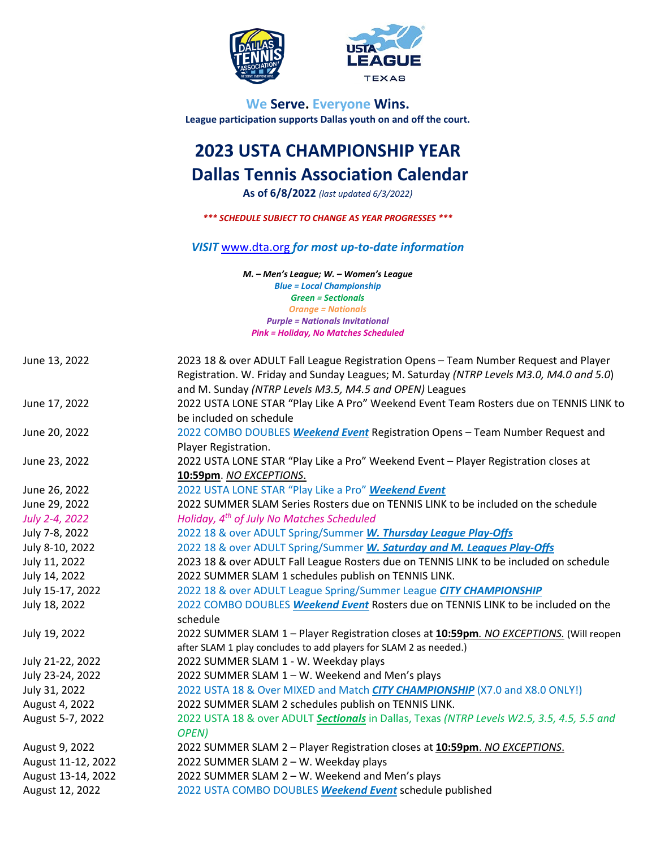

**TEXAS** 

**We Serve. Everyone Wins. League participation supports Dallas youth on and off the court.**

# **2023 USTA CHAMPIONSHIP YEAR Dallas Tennis Association Calendar**

**As of 6/8/2022** *(last updated 6/3/2022)*

*\*\*\* SCHEDULE SUBJECT TO CHANGE AS YEAR PROGRESSES \*\*\**

*VISIT* [www.dta.org](http://www.dta.org/) *for most up-to-date information*

*M. – Men's League; W. – Women's League Blue = Local Championship Green = Sectionals Orange = Nationals Purple = Nationals Invitational Pink = Holiday, No Matches Scheduled*

| June 13, 2022      | 2023 18 & over ADULT Fall League Registration Opens - Team Number Request and Player<br>Registration. W. Friday and Sunday Leagues; M. Saturday (NTRP Levels M3.0, M4.0 and 5.0)<br>and M. Sunday (NTRP Levels M3.5, M4.5 and OPEN) Leagues |
|--------------------|---------------------------------------------------------------------------------------------------------------------------------------------------------------------------------------------------------------------------------------------|
| June 17, 2022      | 2022 USTA LONE STAR "Play Like A Pro" Weekend Event Team Rosters due on TENNIS LINK to<br>be included on schedule                                                                                                                           |
| June 20, 2022      | 2022 COMBO DOUBLES Weekend Event Registration Opens - Team Number Request and<br>Player Registration.                                                                                                                                       |
| June 23, 2022      | 2022 USTA LONE STAR "Play Like a Pro" Weekend Event - Player Registration closes at<br>10:59pm. NO EXCEPTIONS.                                                                                                                              |
| June 26, 2022      | 2022 USTA LONE STAR "Play Like a Pro" Weekend Event                                                                                                                                                                                         |
| June 29, 2022      | 2022 SUMMER SLAM Series Rosters due on TENNIS LINK to be included on the schedule                                                                                                                                                           |
| July 2-4, 2022     | Holiday, 4 <sup>th</sup> of July No Matches Scheduled                                                                                                                                                                                       |
| July 7-8, 2022     | 2022 18 & over ADULT Spring/Summer W. Thursday League Play-Offs                                                                                                                                                                             |
| July 8-10, 2022    | 2022 18 & over ADULT Spring/Summer W. Saturday and M. Leagues Play-Offs                                                                                                                                                                     |
| July 11, 2022      | 2023 18 & over ADULT Fall League Rosters due on TENNIS LINK to be included on schedule                                                                                                                                                      |
| July 14, 2022      | 2022 SUMMER SLAM 1 schedules publish on TENNIS LINK.                                                                                                                                                                                        |
| July 15-17, 2022   | 2022 18 & over ADULT League Spring/Summer League CITY CHAMPIONSHIP                                                                                                                                                                          |
| July 18, 2022      | 2022 COMBO DOUBLES Weekend Event Rosters due on TENNIS LINK to be included on the                                                                                                                                                           |
|                    | schedule                                                                                                                                                                                                                                    |
| July 19, 2022      | 2022 SUMMER SLAM 1 - Player Registration closes at 10:59pm. NO EXCEPTIONS. (Will reopen<br>after SLAM 1 play concludes to add players for SLAM 2 as needed.)                                                                                |
| July 21-22, 2022   | 2022 SUMMER SLAM 1 - W. Weekday plays                                                                                                                                                                                                       |
| July 23-24, 2022   | 2022 SUMMER SLAM 1 - W. Weekend and Men's plays                                                                                                                                                                                             |
| July 31, 2022      | 2022 USTA 18 & Over MIXED and Match <b>CITY CHAMPIONSHIP</b> (X7.0 and X8.0 ONLY!)                                                                                                                                                          |
| August 4, 2022     | 2022 SUMMER SLAM 2 schedules publish on TENNIS LINK.                                                                                                                                                                                        |
| August 5-7, 2022   | 2022 USTA 18 & over ADULT Sectionals in Dallas, Texas (NTRP Levels W2.5, 3.5, 4.5, 5.5 and                                                                                                                                                  |
|                    | OPEN)                                                                                                                                                                                                                                       |
| August 9, 2022     | 2022 SUMMER SLAM 2 - Player Registration closes at 10:59pm. NO EXCEPTIONS.                                                                                                                                                                  |
| August 11-12, 2022 | 2022 SUMMER SLAM 2 - W. Weekday plays                                                                                                                                                                                                       |
| August 13-14, 2022 | 2022 SUMMER SLAM 2 - W. Weekend and Men's plays                                                                                                                                                                                             |
| August 12, 2022    | 2022 USTA COMBO DOUBLES Weekend Event schedule published                                                                                                                                                                                    |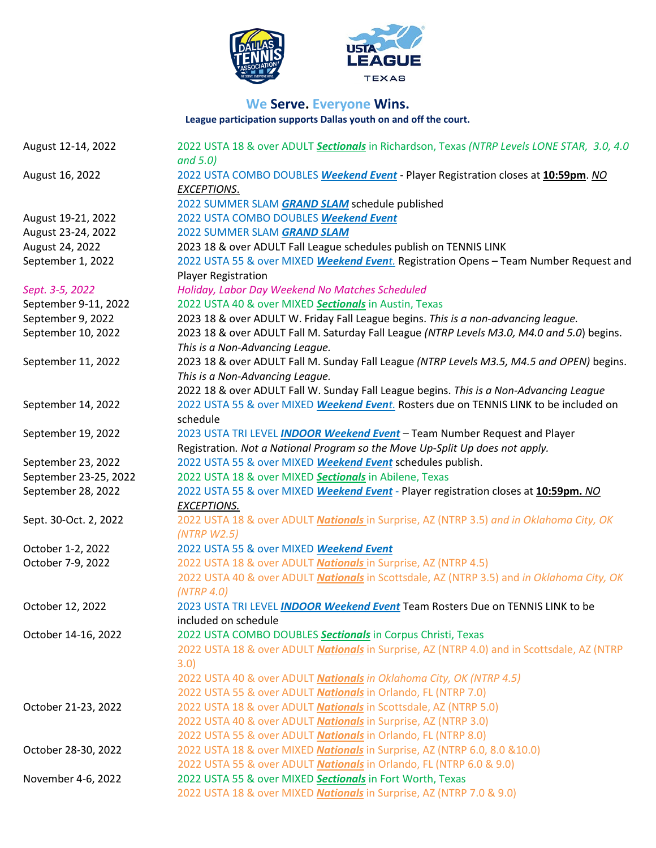

## **We Serve. Everyone Wins.**

JE

**League participation supports Dallas youth on and off the court.**

| August 12-14, 2022    | 2022 USTA 18 & over ADULT Sectionals in Richardson, Texas (NTRP Levels LONE STAR, 3.0, 4.0<br>and $5.0$ ) |
|-----------------------|-----------------------------------------------------------------------------------------------------------|
| August 16, 2022       | 2022 USTA COMBO DOUBLES Weekend Event - Player Registration closes at 10:59pm. NO<br><b>EXCEPTIONS.</b>   |
|                       | 2022 SUMMER SLAM GRAND SLAM schedule published                                                            |
| August 19-21, 2022    | 2022 USTA COMBO DOUBLES Weekend Event                                                                     |
| August 23-24, 2022    | 2022 SUMMER SLAM GRAND SLAM                                                                               |
| August 24, 2022       | 2023 18 & over ADULT Fall League schedules publish on TENNIS LINK                                         |
| September 1, 2022     | 2022 USTA 55 & over MIXED Weekend Event. Registration Opens - Team Number Request and                     |
|                       | <b>Player Registration</b>                                                                                |
| Sept. 3-5, 2022       | Holiday, Labor Day Weekend No Matches Scheduled                                                           |
| September 9-11, 2022  | 2022 USTA 40 & over MIXED Sectionals in Austin, Texas                                                     |
| September 9, 2022     | 2023 18 & over ADULT W. Friday Fall League begins. This is a non-advancing league.                        |
| September 10, 2022    | 2023 18 & over ADULT Fall M. Saturday Fall League (NTRP Levels M3.0, M4.0 and 5.0) begins.                |
|                       | This is a Non-Advancing League.                                                                           |
| September 11, 2022    | 2023 18 & over ADULT Fall M. Sunday Fall League (NTRP Levels M3.5, M4.5 and OPEN) begins.                 |
|                       | This is a Non-Advancing League.                                                                           |
|                       | 2022 18 & over ADULT Fall W. Sunday Fall League begins. This is a Non-Advancing League                    |
| September 14, 2022    | 2022 USTA 55 & over MIXED Weekend Event. Rosters due on TENNIS LINK to be included on                     |
|                       | schedule                                                                                                  |
| September 19, 2022    | 2023 USTA TRI LEVEL INDOOR Weekend Event - Team Number Request and Player                                 |
|                       | Registration. Not a National Program so the Move Up-Split Up does not apply.                              |
| September 23, 2022    | 2022 USTA 55 & over MIXED Weekend Event schedules publish.                                                |
| September 23-25, 2022 | 2022 USTA 18 & over MIXED Sectionals in Abilene, Texas                                                    |
| September 28, 2022    | 2022 USTA 55 & over MIXED Weekend Event - Player registration closes at 10:59pm. NO                       |
|                       | <b>EXCEPTIONS.</b>                                                                                        |
| Sept. 30-Oct. 2, 2022 | 2022 USTA 18 & over ADULT Nationals in Surprise, AZ (NTRP 3.5) and in Oklahoma City, OK                   |
|                       | (NTRP W2.5)                                                                                               |
| October 1-2, 2022     | 2022 USTA 55 & over MIXED Weekend Event                                                                   |
| October 7-9, 2022     | 2022 USTA 18 & over ADULT <b>Nationals</b> in Surprise, AZ (NTRP 4.5)                                     |
|                       | 2022 USTA 40 & over ADULT Nationals in Scottsdale, AZ (NTRP 3.5) and in Oklahoma City, OK                 |
|                       | (NTRP 4.0)                                                                                                |
| October 12, 2022      | 2023 USTA TRI LEVEL INDOOR Weekend Event Team Rosters Due on TENNIS LINK to be                            |
|                       | included on schedule                                                                                      |
| October 14-16, 2022   | 2022 USTA COMBO DOUBLES <b>Sectionals</b> in Corpus Christi, Texas                                        |
|                       | 2022 USTA 18 & over ADULT Nationals in Surprise, AZ (NTRP 4.0) and in Scottsdale, AZ (NTRP                |
|                       | 3.0)                                                                                                      |
|                       | 2022 USTA 40 & over ADULT <b>Nationals</b> in Oklahoma City, OK (NTRP 4.5)                                |
|                       | 2022 USTA 55 & over ADULT Nationals in Orlando, FL (NTRP 7.0)                                             |
| October 21-23, 2022   | 2022 USTA 18 & over ADULT <b>Nationals</b> in Scottsdale, AZ (NTRP 5.0)                                   |
|                       | 2022 USTA 40 & over ADULT <b>Nationals</b> in Surprise, AZ (NTRP 3.0)                                     |
|                       | 2022 USTA 55 & over ADULT <b>Nationals</b> in Orlando, FL (NTRP 8.0)                                      |
| October 28-30, 2022   | 2022 USTA 18 & over MIXED Nationals in Surprise, AZ (NTRP 6.0, 8.0 & 10.0)                                |
|                       | 2022 USTA 55 & over ADULT <b>Nationals</b> in Orlando, FL (NTRP 6.0 & 9.0)                                |
| November 4-6, 2022    | 2022 USTA 55 & over MIXED Sectionals in Fort Worth, Texas                                                 |
|                       | 2022 USTA 18 & over MIXED <b>Nationals</b> in Surprise, AZ (NTRP 7.0 & 9.0)                               |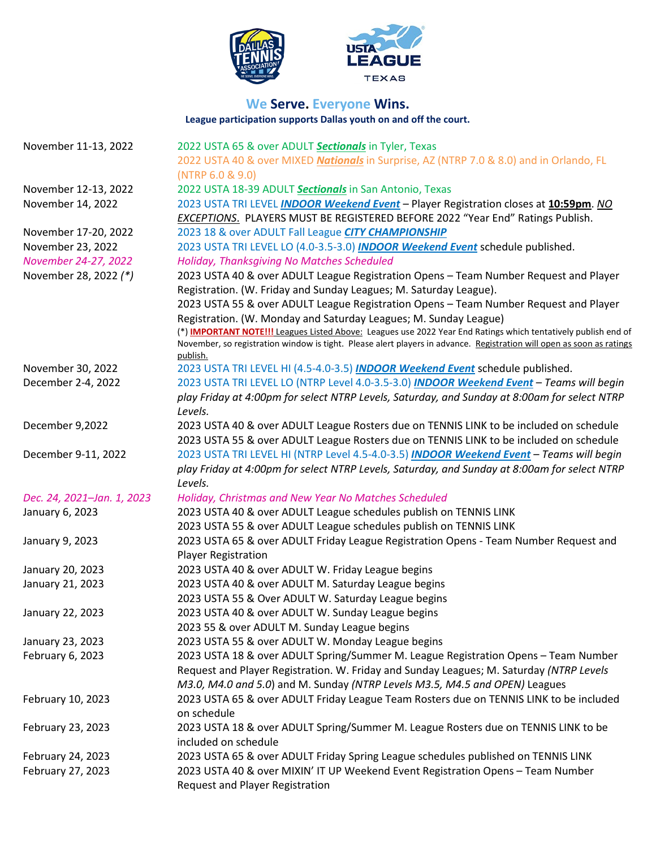

#### **We Serve. Everyone Wins. League participation supports Dallas youth on and off the court.**

JE

| 2022 USTA 40 & over MIXED Nationals in Surprise, AZ (NTRP 7.0 & 8.0) and in Orlando, FL<br>(NTRP 6.0 & 9.0)<br>2022 USTA 18-39 ADULT Sectionals in San Antonio, Texas<br>2023 USTA TRI LEVEL <b>INDOOR Weekend Event</b> - Player Registration closes at 10:59pm. NO<br><b>EXCEPTIONS.</b> PLAYERS MUST BE REGISTERED BEFORE 2022 "Year End" Ratings Publish.<br>2023 18 & over ADULT Fall League CITY CHAMPIONSHIP<br>2023 USTA TRI LEVEL LO (4.0-3.5-3.0) INDOOR Weekend Event schedule published.<br>Holiday, Thanksgiving No Matches Scheduled<br>2023 USTA 40 & over ADULT League Registration Opens - Team Number Request and Player<br>Registration. (W. Friday and Sunday Leagues; M. Saturday League).<br>2023 USTA 55 & over ADULT League Registration Opens - Team Number Request and Player<br>Registration. (W. Monday and Saturday Leagues; M. Sunday League)<br>(*) <b>IMPORTANT NOTE!!!</b> Leagues Listed Above: Leagues use 2022 Year End Ratings which tentatively publish end of<br>November, so registration window is tight. Please alert players in advance. Registration will open as soon as ratings<br>publish.<br>2023 USTA TRI LEVEL HI (4.5-4.0-3.5) INDOOR Weekend Event schedule published.<br>November 30, 2022<br>December 2-4, 2022<br>2023 USTA TRI LEVEL LO (NTRP Level 4.0-3.5-3.0) INDOOR Weekend Event - Teams will begin<br>play Friday at 4:00pm for select NTRP Levels, Saturday, and Sunday at 8:00am for select NTRP<br>Levels.<br>December 9,2022<br>2023 USTA 40 & over ADULT League Rosters due on TENNIS LINK to be included on schedule<br>2023 USTA 55 & over ADULT League Rosters due on TENNIS LINK to be included on schedule<br>2023 USTA TRI LEVEL HI (NTRP Level 4.5-4.0-3.5) INDOOR Weekend Event - Teams will begin<br>December 9-11, 2022<br>play Friday at 4:00pm for select NTRP Levels, Saturday, and Sunday at 8:00am for select NTRP<br>Levels.<br>Dec. 24, 2021-Jan. 1, 2023<br>Holiday, Christmas and New Year No Matches Scheduled<br>2023 USTA 40 & over ADULT League schedules publish on TENNIS LINK<br>January 6, 2023<br>2023 USTA 55 & over ADULT League schedules publish on TENNIS LINK<br>2023 USTA 65 & over ADULT Friday League Registration Opens - Team Number Request and<br>January 9, 2023<br><b>Player Registration</b><br>January 20, 2023<br>2023 USTA 40 & over ADULT W. Friday League begins<br>2023 USTA 40 & over ADULT M. Saturday League begins<br>January 21, 2023<br>2023 USTA 55 & Over ADULT W. Saturday League begins<br>2023 USTA 40 & over ADULT W. Sunday League begins<br>January 22, 2023<br>2023 55 & over ADULT M. Sunday League begins<br>2023 USTA 55 & over ADULT W. Monday League begins<br>January 23, 2023<br>February 6, 2023<br>2023 USTA 18 & over ADULT Spring/Summer M. League Registration Opens - Team Number<br>Request and Player Registration. W. Friday and Sunday Leagues; M. Saturday (NTRP Levels<br>M3.0, M4.0 and 5.0) and M. Sunday (NTRP Levels M3.5, M4.5 and OPEN) Leagues<br>2023 USTA 65 & over ADULT Friday League Team Rosters due on TENNIS LINK to be included<br>February 10, 2023<br>on schedule<br>2023 USTA 18 & over ADULT Spring/Summer M. League Rosters due on TENNIS LINK to be<br>February 23, 2023<br>included on schedule | November 11-13, 2022  | 2022 USTA 65 & over ADULT Sectionals in Tyler, Texas |
|-------------------------------------------------------------------------------------------------------------------------------------------------------------------------------------------------------------------------------------------------------------------------------------------------------------------------------------------------------------------------------------------------------------------------------------------------------------------------------------------------------------------------------------------------------------------------------------------------------------------------------------------------------------------------------------------------------------------------------------------------------------------------------------------------------------------------------------------------------------------------------------------------------------------------------------------------------------------------------------------------------------------------------------------------------------------------------------------------------------------------------------------------------------------------------------------------------------------------------------------------------------------------------------------------------------------------------------------------------------------------------------------------------------------------------------------------------------------------------------------------------------------------------------------------------------------------------------------------------------------------------------------------------------------------------------------------------------------------------------------------------------------------------------------------------------------------------------------------------------------------------------------------------------------------------------------------------------------------------------------------------------------------------------------------------------------------------------------------------------------------------------------------------------------------------------------------------------------------------------------------------------------------------------------------------------------------------------------------------------------------------------------------------------------------------------------------------------------------------------------------------------------------------------------------------------------------------------------------------------------------------------------------------------------------------------------------------------------------------------------------------------------------------------------------------------------------------------------------------------------------------------------------------------------------------------------------------------------------------------------------------------------------------------------------------------------------------------------------------------------------------------------------------------------------------------------------------------------------------------------------------------------------------|-----------------------|------------------------------------------------------|
|                                                                                                                                                                                                                                                                                                                                                                                                                                                                                                                                                                                                                                                                                                                                                                                                                                                                                                                                                                                                                                                                                                                                                                                                                                                                                                                                                                                                                                                                                                                                                                                                                                                                                                                                                                                                                                                                                                                                                                                                                                                                                                                                                                                                                                                                                                                                                                                                                                                                                                                                                                                                                                                                                                                                                                                                                                                                                                                                                                                                                                                                                                                                                                                                                                                                               |                       |                                                      |
|                                                                                                                                                                                                                                                                                                                                                                                                                                                                                                                                                                                                                                                                                                                                                                                                                                                                                                                                                                                                                                                                                                                                                                                                                                                                                                                                                                                                                                                                                                                                                                                                                                                                                                                                                                                                                                                                                                                                                                                                                                                                                                                                                                                                                                                                                                                                                                                                                                                                                                                                                                                                                                                                                                                                                                                                                                                                                                                                                                                                                                                                                                                                                                                                                                                                               |                       |                                                      |
|                                                                                                                                                                                                                                                                                                                                                                                                                                                                                                                                                                                                                                                                                                                                                                                                                                                                                                                                                                                                                                                                                                                                                                                                                                                                                                                                                                                                                                                                                                                                                                                                                                                                                                                                                                                                                                                                                                                                                                                                                                                                                                                                                                                                                                                                                                                                                                                                                                                                                                                                                                                                                                                                                                                                                                                                                                                                                                                                                                                                                                                                                                                                                                                                                                                                               | November 12-13, 2022  |                                                      |
|                                                                                                                                                                                                                                                                                                                                                                                                                                                                                                                                                                                                                                                                                                                                                                                                                                                                                                                                                                                                                                                                                                                                                                                                                                                                                                                                                                                                                                                                                                                                                                                                                                                                                                                                                                                                                                                                                                                                                                                                                                                                                                                                                                                                                                                                                                                                                                                                                                                                                                                                                                                                                                                                                                                                                                                                                                                                                                                                                                                                                                                                                                                                                                                                                                                                               | November 14, 2022     |                                                      |
|                                                                                                                                                                                                                                                                                                                                                                                                                                                                                                                                                                                                                                                                                                                                                                                                                                                                                                                                                                                                                                                                                                                                                                                                                                                                                                                                                                                                                                                                                                                                                                                                                                                                                                                                                                                                                                                                                                                                                                                                                                                                                                                                                                                                                                                                                                                                                                                                                                                                                                                                                                                                                                                                                                                                                                                                                                                                                                                                                                                                                                                                                                                                                                                                                                                                               |                       |                                                      |
|                                                                                                                                                                                                                                                                                                                                                                                                                                                                                                                                                                                                                                                                                                                                                                                                                                                                                                                                                                                                                                                                                                                                                                                                                                                                                                                                                                                                                                                                                                                                                                                                                                                                                                                                                                                                                                                                                                                                                                                                                                                                                                                                                                                                                                                                                                                                                                                                                                                                                                                                                                                                                                                                                                                                                                                                                                                                                                                                                                                                                                                                                                                                                                                                                                                                               | November 17-20, 2022  |                                                      |
|                                                                                                                                                                                                                                                                                                                                                                                                                                                                                                                                                                                                                                                                                                                                                                                                                                                                                                                                                                                                                                                                                                                                                                                                                                                                                                                                                                                                                                                                                                                                                                                                                                                                                                                                                                                                                                                                                                                                                                                                                                                                                                                                                                                                                                                                                                                                                                                                                                                                                                                                                                                                                                                                                                                                                                                                                                                                                                                                                                                                                                                                                                                                                                                                                                                                               | November 23, 2022     |                                                      |
|                                                                                                                                                                                                                                                                                                                                                                                                                                                                                                                                                                                                                                                                                                                                                                                                                                                                                                                                                                                                                                                                                                                                                                                                                                                                                                                                                                                                                                                                                                                                                                                                                                                                                                                                                                                                                                                                                                                                                                                                                                                                                                                                                                                                                                                                                                                                                                                                                                                                                                                                                                                                                                                                                                                                                                                                                                                                                                                                                                                                                                                                                                                                                                                                                                                                               | November 24-27, 2022  |                                                      |
|                                                                                                                                                                                                                                                                                                                                                                                                                                                                                                                                                                                                                                                                                                                                                                                                                                                                                                                                                                                                                                                                                                                                                                                                                                                                                                                                                                                                                                                                                                                                                                                                                                                                                                                                                                                                                                                                                                                                                                                                                                                                                                                                                                                                                                                                                                                                                                                                                                                                                                                                                                                                                                                                                                                                                                                                                                                                                                                                                                                                                                                                                                                                                                                                                                                                               | November 28, 2022 (*) |                                                      |
|                                                                                                                                                                                                                                                                                                                                                                                                                                                                                                                                                                                                                                                                                                                                                                                                                                                                                                                                                                                                                                                                                                                                                                                                                                                                                                                                                                                                                                                                                                                                                                                                                                                                                                                                                                                                                                                                                                                                                                                                                                                                                                                                                                                                                                                                                                                                                                                                                                                                                                                                                                                                                                                                                                                                                                                                                                                                                                                                                                                                                                                                                                                                                                                                                                                                               |                       |                                                      |
|                                                                                                                                                                                                                                                                                                                                                                                                                                                                                                                                                                                                                                                                                                                                                                                                                                                                                                                                                                                                                                                                                                                                                                                                                                                                                                                                                                                                                                                                                                                                                                                                                                                                                                                                                                                                                                                                                                                                                                                                                                                                                                                                                                                                                                                                                                                                                                                                                                                                                                                                                                                                                                                                                                                                                                                                                                                                                                                                                                                                                                                                                                                                                                                                                                                                               |                       |                                                      |
|                                                                                                                                                                                                                                                                                                                                                                                                                                                                                                                                                                                                                                                                                                                                                                                                                                                                                                                                                                                                                                                                                                                                                                                                                                                                                                                                                                                                                                                                                                                                                                                                                                                                                                                                                                                                                                                                                                                                                                                                                                                                                                                                                                                                                                                                                                                                                                                                                                                                                                                                                                                                                                                                                                                                                                                                                                                                                                                                                                                                                                                                                                                                                                                                                                                                               |                       |                                                      |
|                                                                                                                                                                                                                                                                                                                                                                                                                                                                                                                                                                                                                                                                                                                                                                                                                                                                                                                                                                                                                                                                                                                                                                                                                                                                                                                                                                                                                                                                                                                                                                                                                                                                                                                                                                                                                                                                                                                                                                                                                                                                                                                                                                                                                                                                                                                                                                                                                                                                                                                                                                                                                                                                                                                                                                                                                                                                                                                                                                                                                                                                                                                                                                                                                                                                               |                       |                                                      |
|                                                                                                                                                                                                                                                                                                                                                                                                                                                                                                                                                                                                                                                                                                                                                                                                                                                                                                                                                                                                                                                                                                                                                                                                                                                                                                                                                                                                                                                                                                                                                                                                                                                                                                                                                                                                                                                                                                                                                                                                                                                                                                                                                                                                                                                                                                                                                                                                                                                                                                                                                                                                                                                                                                                                                                                                                                                                                                                                                                                                                                                                                                                                                                                                                                                                               |                       |                                                      |
|                                                                                                                                                                                                                                                                                                                                                                                                                                                                                                                                                                                                                                                                                                                                                                                                                                                                                                                                                                                                                                                                                                                                                                                                                                                                                                                                                                                                                                                                                                                                                                                                                                                                                                                                                                                                                                                                                                                                                                                                                                                                                                                                                                                                                                                                                                                                                                                                                                                                                                                                                                                                                                                                                                                                                                                                                                                                                                                                                                                                                                                                                                                                                                                                                                                                               |                       |                                                      |
|                                                                                                                                                                                                                                                                                                                                                                                                                                                                                                                                                                                                                                                                                                                                                                                                                                                                                                                                                                                                                                                                                                                                                                                                                                                                                                                                                                                                                                                                                                                                                                                                                                                                                                                                                                                                                                                                                                                                                                                                                                                                                                                                                                                                                                                                                                                                                                                                                                                                                                                                                                                                                                                                                                                                                                                                                                                                                                                                                                                                                                                                                                                                                                                                                                                                               |                       |                                                      |
|                                                                                                                                                                                                                                                                                                                                                                                                                                                                                                                                                                                                                                                                                                                                                                                                                                                                                                                                                                                                                                                                                                                                                                                                                                                                                                                                                                                                                                                                                                                                                                                                                                                                                                                                                                                                                                                                                                                                                                                                                                                                                                                                                                                                                                                                                                                                                                                                                                                                                                                                                                                                                                                                                                                                                                                                                                                                                                                                                                                                                                                                                                                                                                                                                                                                               |                       |                                                      |
|                                                                                                                                                                                                                                                                                                                                                                                                                                                                                                                                                                                                                                                                                                                                                                                                                                                                                                                                                                                                                                                                                                                                                                                                                                                                                                                                                                                                                                                                                                                                                                                                                                                                                                                                                                                                                                                                                                                                                                                                                                                                                                                                                                                                                                                                                                                                                                                                                                                                                                                                                                                                                                                                                                                                                                                                                                                                                                                                                                                                                                                                                                                                                                                                                                                                               |                       |                                                      |
|                                                                                                                                                                                                                                                                                                                                                                                                                                                                                                                                                                                                                                                                                                                                                                                                                                                                                                                                                                                                                                                                                                                                                                                                                                                                                                                                                                                                                                                                                                                                                                                                                                                                                                                                                                                                                                                                                                                                                                                                                                                                                                                                                                                                                                                                                                                                                                                                                                                                                                                                                                                                                                                                                                                                                                                                                                                                                                                                                                                                                                                                                                                                                                                                                                                                               |                       |                                                      |
|                                                                                                                                                                                                                                                                                                                                                                                                                                                                                                                                                                                                                                                                                                                                                                                                                                                                                                                                                                                                                                                                                                                                                                                                                                                                                                                                                                                                                                                                                                                                                                                                                                                                                                                                                                                                                                                                                                                                                                                                                                                                                                                                                                                                                                                                                                                                                                                                                                                                                                                                                                                                                                                                                                                                                                                                                                                                                                                                                                                                                                                                                                                                                                                                                                                                               |                       |                                                      |
|                                                                                                                                                                                                                                                                                                                                                                                                                                                                                                                                                                                                                                                                                                                                                                                                                                                                                                                                                                                                                                                                                                                                                                                                                                                                                                                                                                                                                                                                                                                                                                                                                                                                                                                                                                                                                                                                                                                                                                                                                                                                                                                                                                                                                                                                                                                                                                                                                                                                                                                                                                                                                                                                                                                                                                                                                                                                                                                                                                                                                                                                                                                                                                                                                                                                               |                       |                                                      |
|                                                                                                                                                                                                                                                                                                                                                                                                                                                                                                                                                                                                                                                                                                                                                                                                                                                                                                                                                                                                                                                                                                                                                                                                                                                                                                                                                                                                                                                                                                                                                                                                                                                                                                                                                                                                                                                                                                                                                                                                                                                                                                                                                                                                                                                                                                                                                                                                                                                                                                                                                                                                                                                                                                                                                                                                                                                                                                                                                                                                                                                                                                                                                                                                                                                                               |                       |                                                      |
|                                                                                                                                                                                                                                                                                                                                                                                                                                                                                                                                                                                                                                                                                                                                                                                                                                                                                                                                                                                                                                                                                                                                                                                                                                                                                                                                                                                                                                                                                                                                                                                                                                                                                                                                                                                                                                                                                                                                                                                                                                                                                                                                                                                                                                                                                                                                                                                                                                                                                                                                                                                                                                                                                                                                                                                                                                                                                                                                                                                                                                                                                                                                                                                                                                                                               |                       |                                                      |
|                                                                                                                                                                                                                                                                                                                                                                                                                                                                                                                                                                                                                                                                                                                                                                                                                                                                                                                                                                                                                                                                                                                                                                                                                                                                                                                                                                                                                                                                                                                                                                                                                                                                                                                                                                                                                                                                                                                                                                                                                                                                                                                                                                                                                                                                                                                                                                                                                                                                                                                                                                                                                                                                                                                                                                                                                                                                                                                                                                                                                                                                                                                                                                                                                                                                               |                       |                                                      |
|                                                                                                                                                                                                                                                                                                                                                                                                                                                                                                                                                                                                                                                                                                                                                                                                                                                                                                                                                                                                                                                                                                                                                                                                                                                                                                                                                                                                                                                                                                                                                                                                                                                                                                                                                                                                                                                                                                                                                                                                                                                                                                                                                                                                                                                                                                                                                                                                                                                                                                                                                                                                                                                                                                                                                                                                                                                                                                                                                                                                                                                                                                                                                                                                                                                                               |                       |                                                      |
|                                                                                                                                                                                                                                                                                                                                                                                                                                                                                                                                                                                                                                                                                                                                                                                                                                                                                                                                                                                                                                                                                                                                                                                                                                                                                                                                                                                                                                                                                                                                                                                                                                                                                                                                                                                                                                                                                                                                                                                                                                                                                                                                                                                                                                                                                                                                                                                                                                                                                                                                                                                                                                                                                                                                                                                                                                                                                                                                                                                                                                                                                                                                                                                                                                                                               |                       |                                                      |
|                                                                                                                                                                                                                                                                                                                                                                                                                                                                                                                                                                                                                                                                                                                                                                                                                                                                                                                                                                                                                                                                                                                                                                                                                                                                                                                                                                                                                                                                                                                                                                                                                                                                                                                                                                                                                                                                                                                                                                                                                                                                                                                                                                                                                                                                                                                                                                                                                                                                                                                                                                                                                                                                                                                                                                                                                                                                                                                                                                                                                                                                                                                                                                                                                                                                               |                       |                                                      |
|                                                                                                                                                                                                                                                                                                                                                                                                                                                                                                                                                                                                                                                                                                                                                                                                                                                                                                                                                                                                                                                                                                                                                                                                                                                                                                                                                                                                                                                                                                                                                                                                                                                                                                                                                                                                                                                                                                                                                                                                                                                                                                                                                                                                                                                                                                                                                                                                                                                                                                                                                                                                                                                                                                                                                                                                                                                                                                                                                                                                                                                                                                                                                                                                                                                                               |                       |                                                      |
|                                                                                                                                                                                                                                                                                                                                                                                                                                                                                                                                                                                                                                                                                                                                                                                                                                                                                                                                                                                                                                                                                                                                                                                                                                                                                                                                                                                                                                                                                                                                                                                                                                                                                                                                                                                                                                                                                                                                                                                                                                                                                                                                                                                                                                                                                                                                                                                                                                                                                                                                                                                                                                                                                                                                                                                                                                                                                                                                                                                                                                                                                                                                                                                                                                                                               |                       |                                                      |
|                                                                                                                                                                                                                                                                                                                                                                                                                                                                                                                                                                                                                                                                                                                                                                                                                                                                                                                                                                                                                                                                                                                                                                                                                                                                                                                                                                                                                                                                                                                                                                                                                                                                                                                                                                                                                                                                                                                                                                                                                                                                                                                                                                                                                                                                                                                                                                                                                                                                                                                                                                                                                                                                                                                                                                                                                                                                                                                                                                                                                                                                                                                                                                                                                                                                               |                       |                                                      |
|                                                                                                                                                                                                                                                                                                                                                                                                                                                                                                                                                                                                                                                                                                                                                                                                                                                                                                                                                                                                                                                                                                                                                                                                                                                                                                                                                                                                                                                                                                                                                                                                                                                                                                                                                                                                                                                                                                                                                                                                                                                                                                                                                                                                                                                                                                                                                                                                                                                                                                                                                                                                                                                                                                                                                                                                                                                                                                                                                                                                                                                                                                                                                                                                                                                                               |                       |                                                      |
|                                                                                                                                                                                                                                                                                                                                                                                                                                                                                                                                                                                                                                                                                                                                                                                                                                                                                                                                                                                                                                                                                                                                                                                                                                                                                                                                                                                                                                                                                                                                                                                                                                                                                                                                                                                                                                                                                                                                                                                                                                                                                                                                                                                                                                                                                                                                                                                                                                                                                                                                                                                                                                                                                                                                                                                                                                                                                                                                                                                                                                                                                                                                                                                                                                                                               |                       |                                                      |
|                                                                                                                                                                                                                                                                                                                                                                                                                                                                                                                                                                                                                                                                                                                                                                                                                                                                                                                                                                                                                                                                                                                                                                                                                                                                                                                                                                                                                                                                                                                                                                                                                                                                                                                                                                                                                                                                                                                                                                                                                                                                                                                                                                                                                                                                                                                                                                                                                                                                                                                                                                                                                                                                                                                                                                                                                                                                                                                                                                                                                                                                                                                                                                                                                                                                               |                       |                                                      |
|                                                                                                                                                                                                                                                                                                                                                                                                                                                                                                                                                                                                                                                                                                                                                                                                                                                                                                                                                                                                                                                                                                                                                                                                                                                                                                                                                                                                                                                                                                                                                                                                                                                                                                                                                                                                                                                                                                                                                                                                                                                                                                                                                                                                                                                                                                                                                                                                                                                                                                                                                                                                                                                                                                                                                                                                                                                                                                                                                                                                                                                                                                                                                                                                                                                                               |                       |                                                      |
|                                                                                                                                                                                                                                                                                                                                                                                                                                                                                                                                                                                                                                                                                                                                                                                                                                                                                                                                                                                                                                                                                                                                                                                                                                                                                                                                                                                                                                                                                                                                                                                                                                                                                                                                                                                                                                                                                                                                                                                                                                                                                                                                                                                                                                                                                                                                                                                                                                                                                                                                                                                                                                                                                                                                                                                                                                                                                                                                                                                                                                                                                                                                                                                                                                                                               |                       |                                                      |
|                                                                                                                                                                                                                                                                                                                                                                                                                                                                                                                                                                                                                                                                                                                                                                                                                                                                                                                                                                                                                                                                                                                                                                                                                                                                                                                                                                                                                                                                                                                                                                                                                                                                                                                                                                                                                                                                                                                                                                                                                                                                                                                                                                                                                                                                                                                                                                                                                                                                                                                                                                                                                                                                                                                                                                                                                                                                                                                                                                                                                                                                                                                                                                                                                                                                               |                       |                                                      |
|                                                                                                                                                                                                                                                                                                                                                                                                                                                                                                                                                                                                                                                                                                                                                                                                                                                                                                                                                                                                                                                                                                                                                                                                                                                                                                                                                                                                                                                                                                                                                                                                                                                                                                                                                                                                                                                                                                                                                                                                                                                                                                                                                                                                                                                                                                                                                                                                                                                                                                                                                                                                                                                                                                                                                                                                                                                                                                                                                                                                                                                                                                                                                                                                                                                                               |                       |                                                      |
|                                                                                                                                                                                                                                                                                                                                                                                                                                                                                                                                                                                                                                                                                                                                                                                                                                                                                                                                                                                                                                                                                                                                                                                                                                                                                                                                                                                                                                                                                                                                                                                                                                                                                                                                                                                                                                                                                                                                                                                                                                                                                                                                                                                                                                                                                                                                                                                                                                                                                                                                                                                                                                                                                                                                                                                                                                                                                                                                                                                                                                                                                                                                                                                                                                                                               |                       |                                                      |
|                                                                                                                                                                                                                                                                                                                                                                                                                                                                                                                                                                                                                                                                                                                                                                                                                                                                                                                                                                                                                                                                                                                                                                                                                                                                                                                                                                                                                                                                                                                                                                                                                                                                                                                                                                                                                                                                                                                                                                                                                                                                                                                                                                                                                                                                                                                                                                                                                                                                                                                                                                                                                                                                                                                                                                                                                                                                                                                                                                                                                                                                                                                                                                                                                                                                               |                       |                                                      |
|                                                                                                                                                                                                                                                                                                                                                                                                                                                                                                                                                                                                                                                                                                                                                                                                                                                                                                                                                                                                                                                                                                                                                                                                                                                                                                                                                                                                                                                                                                                                                                                                                                                                                                                                                                                                                                                                                                                                                                                                                                                                                                                                                                                                                                                                                                                                                                                                                                                                                                                                                                                                                                                                                                                                                                                                                                                                                                                                                                                                                                                                                                                                                                                                                                                                               |                       |                                                      |
|                                                                                                                                                                                                                                                                                                                                                                                                                                                                                                                                                                                                                                                                                                                                                                                                                                                                                                                                                                                                                                                                                                                                                                                                                                                                                                                                                                                                                                                                                                                                                                                                                                                                                                                                                                                                                                                                                                                                                                                                                                                                                                                                                                                                                                                                                                                                                                                                                                                                                                                                                                                                                                                                                                                                                                                                                                                                                                                                                                                                                                                                                                                                                                                                                                                                               |                       |                                                      |
| 2023 USTA 65 & over ADULT Friday Spring League schedules published on TENNIS LINK                                                                                                                                                                                                                                                                                                                                                                                                                                                                                                                                                                                                                                                                                                                                                                                                                                                                                                                                                                                                                                                                                                                                                                                                                                                                                                                                                                                                                                                                                                                                                                                                                                                                                                                                                                                                                                                                                                                                                                                                                                                                                                                                                                                                                                                                                                                                                                                                                                                                                                                                                                                                                                                                                                                                                                                                                                                                                                                                                                                                                                                                                                                                                                                             | February 24, 2023     |                                                      |
| 2023 USTA 40 & over MIXIN' IT UP Weekend Event Registration Opens - Team Number                                                                                                                                                                                                                                                                                                                                                                                                                                                                                                                                                                                                                                                                                                                                                                                                                                                                                                                                                                                                                                                                                                                                                                                                                                                                                                                                                                                                                                                                                                                                                                                                                                                                                                                                                                                                                                                                                                                                                                                                                                                                                                                                                                                                                                                                                                                                                                                                                                                                                                                                                                                                                                                                                                                                                                                                                                                                                                                                                                                                                                                                                                                                                                                               | February 27, 2023     |                                                      |
| Request and Player Registration                                                                                                                                                                                                                                                                                                                                                                                                                                                                                                                                                                                                                                                                                                                                                                                                                                                                                                                                                                                                                                                                                                                                                                                                                                                                                                                                                                                                                                                                                                                                                                                                                                                                                                                                                                                                                                                                                                                                                                                                                                                                                                                                                                                                                                                                                                                                                                                                                                                                                                                                                                                                                                                                                                                                                                                                                                                                                                                                                                                                                                                                                                                                                                                                                                               |                       |                                                      |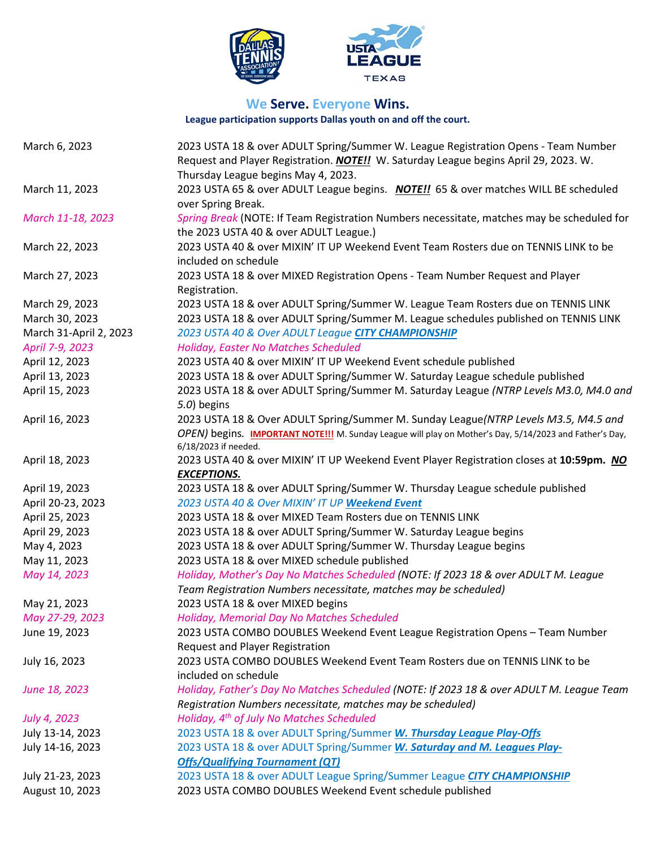



### **We Serve. Everyone Wins.**

**League participation supports Dallas youth on and off the court.**

| March 6, 2023          | 2023 USTA 18 & over ADULT Spring/Summer W. League Registration Opens - Team Number<br>Request and Player Registration. <i>NOTE!!</i> W. Saturday League begins April 29, 2023. W. |
|------------------------|-----------------------------------------------------------------------------------------------------------------------------------------------------------------------------------|
|                        | Thursday League begins May 4, 2023.                                                                                                                                               |
| March 11, 2023         | 2023 USTA 65 & over ADULT League begins. NOTE!! 65 & over matches WILL BE scheduled<br>over Spring Break.                                                                         |
| March 11-18, 2023      | Spring Break (NOTE: If Team Registration Numbers necessitate, matches may be scheduled for<br>the 2023 USTA 40 & over ADULT League.)                                              |
| March 22, 2023         | 2023 USTA 40 & over MIXIN' IT UP Weekend Event Team Rosters due on TENNIS LINK to be<br>included on schedule                                                                      |
| March 27, 2023         | 2023 USTA 18 & over MIXED Registration Opens - Team Number Request and Player<br>Registration.                                                                                    |
| March 29, 2023         | 2023 USTA 18 & over ADULT Spring/Summer W. League Team Rosters due on TENNIS LINK                                                                                                 |
| March 30, 2023         | 2023 USTA 18 & over ADULT Spring/Summer M. League schedules published on TENNIS LINK                                                                                              |
| March 31-April 2, 2023 | 2023 USTA 40 & Over ADULT League CITY CHAMPIONSHIP                                                                                                                                |
| April 7-9, 2023        | Holiday, Easter No Matches Scheduled                                                                                                                                              |
| April 12, 2023         | 2023 USTA 40 & over MIXIN' IT UP Weekend Event schedule published                                                                                                                 |
| April 13, 2023         | 2023 USTA 18 & over ADULT Spring/Summer W. Saturday League schedule published                                                                                                     |
| April 15, 2023         | 2023 USTA 18 & over ADULT Spring/Summer M. Saturday League (NTRP Levels M3.0, M4.0 and<br>5.0) begins                                                                             |
| April 16, 2023         | 2023 USTA 18 & Over ADULT Spring/Summer M. Sunday League(NTRP Levels M3.5, M4.5 and                                                                                               |
|                        | OPEN) begins. <b>IMPORTANT NOTE!!!</b> M. Sunday League will play on Mother's Day, 5/14/2023 and Father's Day,<br>6/18/2023 if needed.                                            |
| April 18, 2023         | 2023 USTA 40 & over MIXIN' IT UP Weekend Event Player Registration closes at 10:59pm. NO                                                                                          |
|                        | <b>EXCEPTIONS.</b>                                                                                                                                                                |
| April 19, 2023         | 2023 USTA 18 & over ADULT Spring/Summer W. Thursday League schedule published                                                                                                     |
| April 20-23, 2023      | 2023 USTA 40 & Over MIXIN' IT UP Weekend Event                                                                                                                                    |
| April 25, 2023         | 2023 USTA 18 & over MIXED Team Rosters due on TENNIS LINK                                                                                                                         |
| April 29, 2023         | 2023 USTA 18 & over ADULT Spring/Summer W. Saturday League begins                                                                                                                 |
| May 4, 2023            | 2023 USTA 18 & over ADULT Spring/Summer W. Thursday League begins                                                                                                                 |
| May 11, 2023           | 2023 USTA 18 & over MIXED schedule published                                                                                                                                      |
| May 14, 2023           | Holiday, Mother's Day No Matches Scheduled (NOTE: If 2023 18 & over ADULT M. League                                                                                               |
|                        | Team Registration Numbers necessitate, matches may be scheduled)                                                                                                                  |
| May 21, 2023           | 2023 USTA 18 & over MIXED begins                                                                                                                                                  |
| May 27-29, 2023        | Holiday, Memorial Day No Matches Scheduled                                                                                                                                        |
| June 19, 2023          | 2023 USTA COMBO DOUBLES Weekend Event League Registration Opens - Team Number                                                                                                     |
|                        | Request and Player Registration                                                                                                                                                   |
| July 16, 2023          | 2023 USTA COMBO DOUBLES Weekend Event Team Rosters due on TENNIS LINK to be                                                                                                       |
|                        | included on schedule                                                                                                                                                              |
| June 18, 2023          | Holiday, Father's Day No Matches Scheduled (NOTE: If 2023 18 & over ADULT M. League Team                                                                                          |
|                        | Registration Numbers necessitate, matches may be scheduled)                                                                                                                       |
| July 4, 2023           | Holiday, 4 <sup>th</sup> of July No Matches Scheduled                                                                                                                             |
| July 13-14, 2023       | 2023 USTA 18 & over ADULT Spring/Summer W. Thursday League Play-Offs                                                                                                              |
| July 14-16, 2023       | 2023 USTA 18 & over ADULT Spring/Summer W. Saturday and M. Leagues Play-                                                                                                          |
|                        | <b>Offs/Qualifying Tournament (QT)</b>                                                                                                                                            |
| July 21-23, 2023       | 2023 USTA 18 & over ADULT League Spring/Summer League CITY CHAMPIONSHIP                                                                                                           |
| August 10, 2023        | 2023 USTA COMBO DOUBLES Weekend Event schedule published                                                                                                                          |